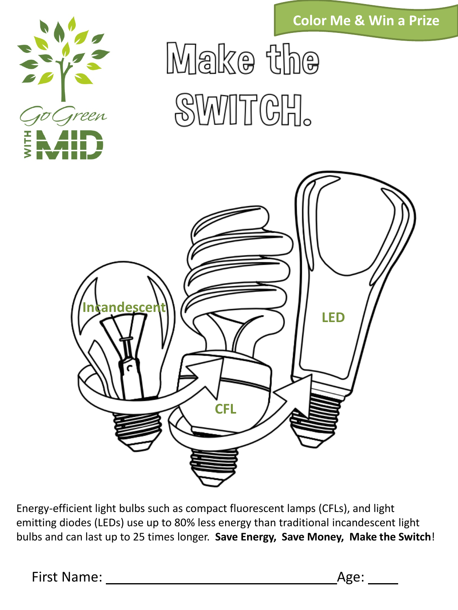**Color Me & Win a Prize**



Make the **SWITCH.** 



Energy-efficient light bulbs such as compact fluorescent lamps (CFLs), and light emitting diodes (LEDs) use up to 80% less energy than traditional incandescent light bulbs and can last up to 25 times longer. **Save Energy, Save Money, Make the Switch**!

First Name: Age: